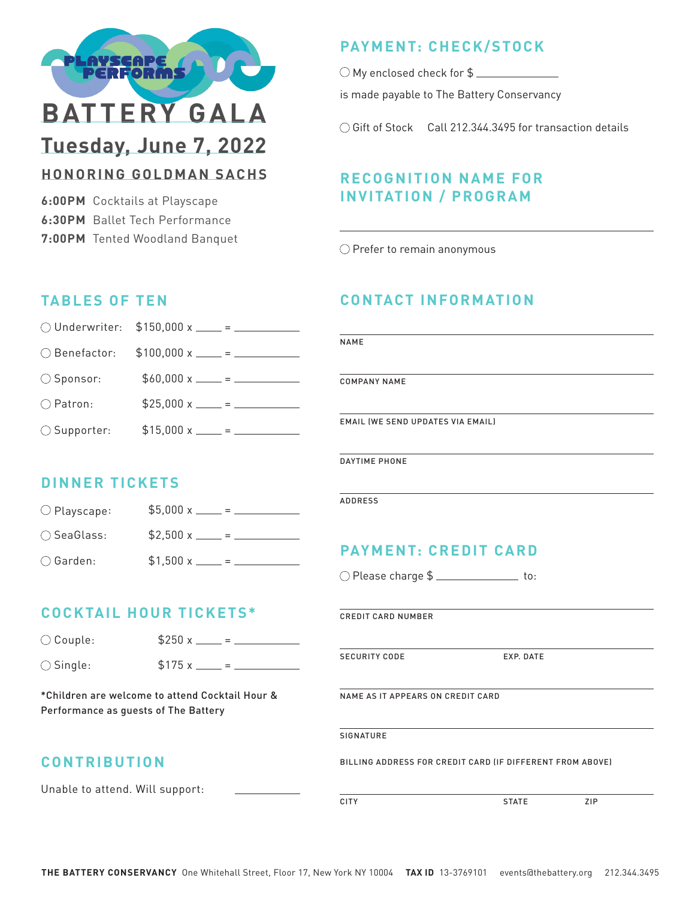

# **Tuesday, June 7, 2022**

# **HONORING GOLDMAN SACHS**

**6:00PM** Cocktails at Playscape **6:30PM** Ballet Tech Performance **7:00PM** Tented Woodland Banquet

# **PAYMENT: CHECK/STOCK**

O My enclosed check for \$

is made payable to The Battery Conservancy

Gift of Stock Call 212.344.3495 for transaction details

# **RECOGNITION NAME FOR INVITATION / PROGRAM**

 $\bigcirc$  Prefer to remain anonymous

# **CONTACT INFORMATION**

|                        | ◯ Underwriter: $$150,000 x$ <u>____</u> = __________ |              |
|------------------------|------------------------------------------------------|--------------|
| $\bigcirc$ Benefactor: |                                                      | <b>NAME</b>  |
| $\bigcirc$ Sponsor:    | $$60,000 \times \_ = \_$                             | COMPA        |
| $\bigcirc$ Patron:     |                                                      |              |
| $\bigcirc$ Supporter:  | $$15,000 \times \_ = \_$                             | <b>EMAIL</b> |
|                        |                                                      |              |

#### **DINNER TICKETS**

**TABLES OF TEN** 

| $\bigcirc$ Playscape: | $$5,000 x$ = = =       |
|-----------------------|------------------------|
| $\bigcirc$ SeaGlass:  | $$2,500 \times \_ = =$ |
| $\bigcirc$ Garden:    | $$1,500 x \_\_ = .$    |

# **COCKTAIL HOUR TICKETS\***

| $\bigcirc$ Couple: | \$250x |  |
|--------------------|--------|--|
| $\bigcirc$ Single: | \$175x |  |

\*Children are welcome to attend Cocktail Hour & Performance as guests of The Battery

# **CONTRIBUTION**

Unable to attend. Will support:

| NAME                                                      |              |     |
|-----------------------------------------------------------|--------------|-----|
| <b>COMPANY NAME</b>                                       |              |     |
| <b>EMAIL (WE SEND UPDATES VIA EMAIL)</b>                  |              |     |
| <b>DAYTIME PHONE</b>                                      |              |     |
| <b>ADDRESS</b>                                            |              |     |
| <b>PAYMENT: CREDIT CARD</b>                               |              |     |
| $\bigcirc$ Please charge \$                               |              |     |
| <b>CREDIT CARD NUMBER</b>                                 |              |     |
| <b>SECURITY CODE</b>                                      | EXP. DATE    |     |
| NAME AS IT APPEARS ON CREDIT CARD                         |              |     |
| SIGNATURE                                                 |              |     |
| BILLING ADDRESS FOR CREDIT CARD (IF DIFFERENT FROM ABOVE) |              |     |
| <b>CITY</b>                                               | <b>STATE</b> | ZIP |